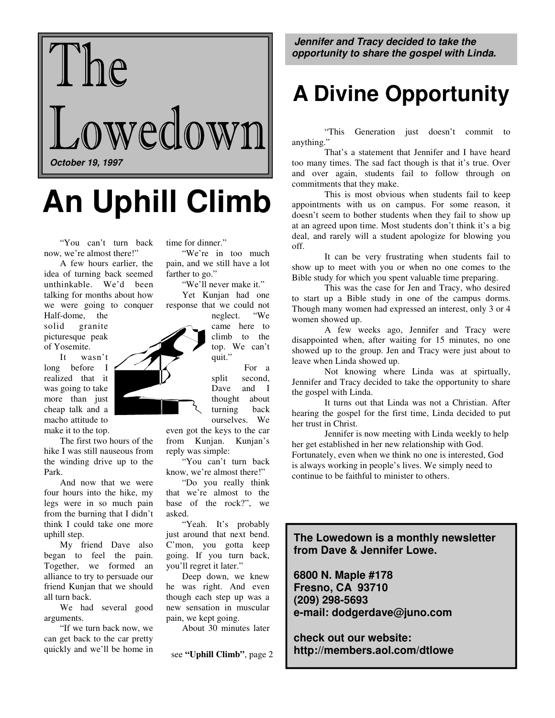

# **An Uphill Climb**

 "You can't turn back now, we're almost there!"

 A few hours earlier, the idea of turning back seemed unthinkable. We'd been talking for months about how we were going to conquer

Half-dome, the solid granite picturesque peak of Yosemite.

 It wasn't long before I realized that it was going to take more than just cheap talk and a macho attitude to make it to the top.

 The first two hours of the hike I was still nauseous from the winding drive up to the Park.

 And now that we were four hours into the hike, my legs were in so much pain from the burning that I didn't think I could take one more uphill step.

 My friend Dave also began to feel the pain. Together, we formed an alliance to try to persuade our friend Kunjan that we should all turn back.

 We had several good arguments.

 "If we turn back now, we can get back to the car pretty quickly and we'll be home in time for dinner."

"We're in too much pain, and we still have a lot farther to go."

 "We'll never make it." Yet Kunjan had one response that we could not

neglect. "We came here to climb to the top. We can't quit."

> For a split second, Dave and I thought about turning back ourselves. We

even got the keys to the car from Kunjan. Kunjan's reply was simple:

 "You can't turn back know, we're almost there!"

 "Do you really think that we're almost to the base of the rock?", we asked.

"Yeah. It's probably just around that next bend. C'mon, you gotta keep going. If you turn back, you'll regret it later."

 Deep down, we knew he was right. And even though each step up was a new sensation in muscular pain, we kept going.

About 30 minutes later

see **"Uphill Climb"**, page 2

**Jennifer and Tracy decided to take the opportunity to share the gospel with Linda.** 

## **A Divine Opportunity**

 "This Generation just doesn't commit to anything."

 That's a statement that Jennifer and I have heard too many times. The sad fact though is that it's true. Over and over again, students fail to follow through on commitments that they make.

 This is most obvious when students fail to keep appointments with us on campus. For some reason, it doesn't seem to bother students when they fail to show up at an agreed upon time. Most students don't think it's a big deal, and rarely will a student apologize for blowing you off.

 It can be very frustrating when students fail to show up to meet with you or when no one comes to the Bible study for which you spent valuable time preparing.

 This was the case for Jen and Tracy, who desired to start up a Bible study in one of the campus dorms. Though many women had expressed an interest, only 3 or 4 women showed up.

 A few weeks ago, Jennifer and Tracy were disappointed when, after waiting for 15 minutes, no one showed up to the group. Jen and Tracy were just about to leave when Linda showed up.

 Not knowing where Linda was at spirtually, Jennifer and Tracy decided to take the opportunity to share the gospel with Linda.

 It turns out that Linda was not a Christian. After hearing the gospel for the first time, Linda decided to put her trust in Christ.

 Jennifer is now meeting with Linda weekly to help her get established in her new relationship with God. Fortunately, even when we think no one is interested, God is always working in people's lives. We simply need to continue to be faithful to minister to others.

#### **The Lowedown is a monthly newsletter from Dave & Jennifer Lowe.**

**6800 N. Maple #178 Fresno, CA 93710 (209) 298-5693 e-mail: dodgerdave@juno.com** 

**check out our website: http://members.aol.com/dtlowe**